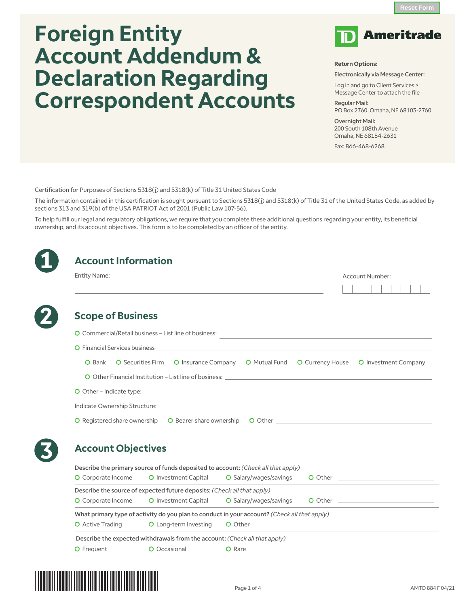# **Foreign Entity Account Addendum & Declaration Regarding Correspondent Accounts**



#### **Return Options:**

Electronically via Message Center:

Log in and go to Client Services > Message Center to attach the file

Regular Mail: PO Box 2760, Omaha, NE 68103-2760

Overnight Mail: 200 South 108th Avenue Omaha, NE 68154-2631

Fax: 866-468-6268

Certification for Purposes of Sections 5318(j) and 5318(k) of Title 31 United States Code

The information contained in this certification is sought pursuant to Sections 5318(j) and 5318(k) of Title 31 of the United States Code, as added by sections 313 and 319(b) of the USA PATRIOT Act of 2001 (Public Law 107-56).

To help fulfill our legal and regulatory obligations, we require that you complete these additional questions regarding your entity, its beneficial ownership, and its account objectives. This form is to be completed by an officer of the entity.

| <b>Entity Name:</b>           |                                                                                                                                                                                                                                |                                                                                                                                                                                                                                |  | Account Number:                                                                                                                                                                                                                      |  |
|-------------------------------|--------------------------------------------------------------------------------------------------------------------------------------------------------------------------------------------------------------------------------|--------------------------------------------------------------------------------------------------------------------------------------------------------------------------------------------------------------------------------|--|--------------------------------------------------------------------------------------------------------------------------------------------------------------------------------------------------------------------------------------|--|
|                               |                                                                                                                                                                                                                                |                                                                                                                                                                                                                                |  |                                                                                                                                                                                                                                      |  |
| <b>Scope of Business</b>      |                                                                                                                                                                                                                                |                                                                                                                                                                                                                                |  |                                                                                                                                                                                                                                      |  |
|                               | O Commercial/Retail business – List line of business:                                                                                                                                                                          | <u> 1980 - Andrea Andrew Maria (h. 1980).</u>                                                                                                                                                                                  |  |                                                                                                                                                                                                                                      |  |
|                               | O Financial Services business and the contract of the contract of the contract of the contract of the contract of the contract of the contract of the contract of the contract of the contract of the contract of the contract |                                                                                                                                                                                                                                |  |                                                                                                                                                                                                                                      |  |
| <b>O</b> Bank                 | O Securities Firm O Insurance Company O Mutual Fund O Currency House O Investment Company                                                                                                                                      |                                                                                                                                                                                                                                |  |                                                                                                                                                                                                                                      |  |
|                               |                                                                                                                                                                                                                                |                                                                                                                                                                                                                                |  |                                                                                                                                                                                                                                      |  |
|                               |                                                                                                                                                                                                                                |                                                                                                                                                                                                                                |  |                                                                                                                                                                                                                                      |  |
| Indicate Ownership Structure: |                                                                                                                                                                                                                                |                                                                                                                                                                                                                                |  |                                                                                                                                                                                                                                      |  |
|                               |                                                                                                                                                                                                                                |                                                                                                                                                                                                                                |  |                                                                                                                                                                                                                                      |  |
|                               |                                                                                                                                                                                                                                |                                                                                                                                                                                                                                |  |                                                                                                                                                                                                                                      |  |
| <b>Account Objectives</b>     |                                                                                                                                                                                                                                |                                                                                                                                                                                                                                |  |                                                                                                                                                                                                                                      |  |
|                               | Describe the primary source of funds deposited to account: (Check all that apply)                                                                                                                                              |                                                                                                                                                                                                                                |  |                                                                                                                                                                                                                                      |  |
| O Corporate Income            | <b>O</b> Investment Capital                                                                                                                                                                                                    | O Salary/wages/savings                                                                                                                                                                                                         |  | O Other <u>and the contract of the contract of the contract of the contract of the contract of the contract of the contract of the contract of the contract of the contract of the contract of the contract of the contract of t</u> |  |
|                               | Describe the source of expected future deposits: (Check all that apply)                                                                                                                                                        |                                                                                                                                                                                                                                |  |                                                                                                                                                                                                                                      |  |
| O Corporate Income            | O Investment Capital                                                                                                                                                                                                           | O Salary/wages/savings                                                                                                                                                                                                         |  |                                                                                                                                                                                                                                      |  |
|                               | What primary type of activity do you plan to conduct in your account? (Check all that apply)                                                                                                                                   |                                                                                                                                                                                                                                |  |                                                                                                                                                                                                                                      |  |
|                               |                                                                                                                                                                                                                                |                                                                                                                                                                                                                                |  |                                                                                                                                                                                                                                      |  |
| <b>O</b> Active Trading       | O Long-term Investing                                                                                                                                                                                                          | O Other and the contract of the contract of the contract of the contract of the contract of the contract of the contract of the contract of the contract of the contract of the contract of the contract of the contract of th |  |                                                                                                                                                                                                                                      |  |
|                               | Describe the expected withdrawals from the account: (Check all that apply)                                                                                                                                                     |                                                                                                                                                                                                                                |  |                                                                                                                                                                                                                                      |  |

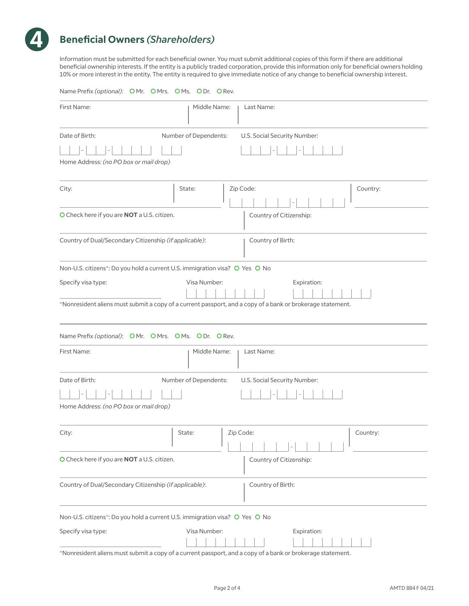

Information must be submitted for each beneficial owner. You must submit additional copies of this form if there are additional beneficial ownership interests. If the entity is a publicly traded corporation, provide this information only for beneficial owners holding 10% or more interest in the entity. The entity is required to give immediate notice of any change to beneficial ownership interest.

| Name Prefix (optional): OMr. OMrs. OMs. ODr. ORev.                                                         |
|------------------------------------------------------------------------------------------------------------|
| First Name:<br>Middle Name:<br>Last Name:                                                                  |
| Number of Dependents:<br>U.S. Social Security Number:<br>Date of Birth:                                    |
|                                                                                                            |
| Home Address: (no PO box or mail drop)                                                                     |
| Country:<br>Zip Code:<br>City:<br>State:                                                                   |
| O Check here if you are NOT a U.S. citizen.<br>Country of Citizenship:                                     |
| Country of Dual/Secondary Citizenship (if applicable):<br>Country of Birth:                                |
| Non-U.S. citizens*: Do you hold a current U.S. immigration visa? O Yes O No                                |
| Specify visa type:<br>Visa Number:<br>Expiration:                                                          |
| *Nonresident aliens must submit a copy of a current passport, and a copy of a bank or brokerage statement. |
| Name Prefix (optional): OMr. OMrs. OMs. ODr. ORev.                                                         |
| First Name:<br>Middle Name:<br>Last Name:                                                                  |
| Number of Dependents:<br>Date of Birth:<br>U.S. Social Security Number:                                    |
|                                                                                                            |
| Home Address: (no PO box or mail drop)                                                                     |
| State:<br>  Zip Code:<br>  Country:<br>City:                                                               |
| O Check here if you are NOT a U.S. citizen.<br>Country of Citizenship:                                     |
| Country of Dual/Secondary Citizenship (if applicable):<br>Country of Birth:                                |
| Non-U.S. citizens*: Do you hold a current U.S. immigration visa? O Yes O No                                |
| Specify visa type:<br>Visa Number:<br>Expiration:                                                          |

\*Nonresident aliens must submit a copy of a current passport, and a copy of a bank or brokerage statement.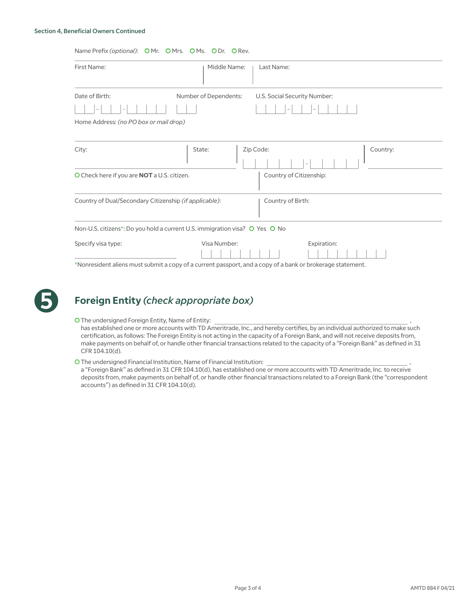#### Section 4, Beneficial Owners Continued

#### Name Prefix (optional): O Mr. O Mrs. O Ms. O Dr. O Rev.

| First Name:                                                                                                                                                                                                                                                                                                                                                | Middle Name:          | Last Name:                   |          |
|------------------------------------------------------------------------------------------------------------------------------------------------------------------------------------------------------------------------------------------------------------------------------------------------------------------------------------------------------------|-----------------------|------------------------------|----------|
| Date of Birth:                                                                                                                                                                                                                                                                                                                                             | Number of Dependents: | U.S. Social Security Number: |          |
|                                                                                                                                                                                                                                                                                                                                                            |                       |                              |          |
| Home Address: (no PO box or mail drop)                                                                                                                                                                                                                                                                                                                     |                       |                              |          |
|                                                                                                                                                                                                                                                                                                                                                            |                       |                              |          |
| City:                                                                                                                                                                                                                                                                                                                                                      | State:                | Zip Code:                    | Country: |
| O Check here if you are <b>NOT</b> a U.S. citizen.                                                                                                                                                                                                                                                                                                         |                       | Country of Citizenship:      |          |
| Country of Dual/Secondary Citizenship (if applicable):                                                                                                                                                                                                                                                                                                     |                       | Country of Birth:            |          |
| Non-U.S. citizens*: Do you hold a current U.S. immigration visa? O Yes O No                                                                                                                                                                                                                                                                                |                       |                              |          |
| Specify visa type:                                                                                                                                                                                                                                                                                                                                         | Visa Number:          | Expiration:                  |          |
| $\mathcal{A}$ and $\mathcal{A}$ are a set of the set of the set of the set of the set of the set of the set of the set of the set of the set of the set of the set of the set of the set of the set of the set of the set of the set of<br>the contract of the contract of the contract of the contract of the contract of the contract of the contract of |                       |                              |          |

\*Nonresident aliens must submit a copy of a current passport, and a copy of a bank or brokerage statement.



### **Foreign Entity** *(check appropriate box)*

O The undersigned Foreign Entity, Name of Entity:

has established one or more accounts with TD Ameritrade, Inc., and hereby certifies, by an individual authorized to make such certification, as follows: The Foreign Entity is not acting in the capacity of a Foreign Bank, and will not receive deposits from, make payments on behalf of, or handle other financial transactions related to the capacity of a "Foreign Bank" as defined in 31 CFR 104.10(d).

O The undersigned Financial Institution, Name of Financial Institution:

a "Foreign Bank" as defined in 31 CFR 104.10(d), has established one or more accounts with TD Ameritrade, Inc. to receive deposits from, make payments on behalf of, or handle other financial transactions related to a Foreign Bank (the "correspondent accounts") as defined in 31 CFR 104.10(d).